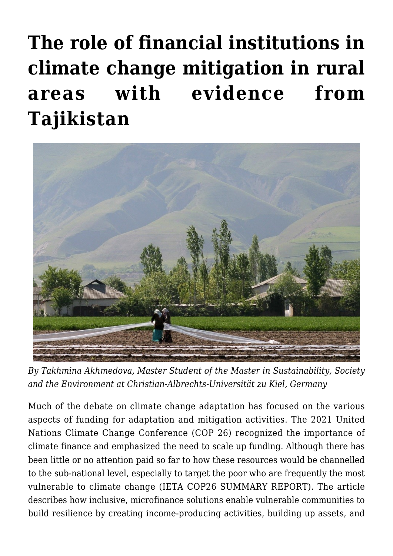# **[The role of financial institutions in](https://regions.regionalstudies.org/ezine/article/issue-12-financial-tajikistan/) [climate change mitigation in rural](https://regions.regionalstudies.org/ezine/article/issue-12-financial-tajikistan/) [areas with evidence from](https://regions.regionalstudies.org/ezine/article/issue-12-financial-tajikistan/) [Tajikistan](https://regions.regionalstudies.org/ezine/article/issue-12-financial-tajikistan/)**



*By [Takhmina Akhmedova](https://regions.regionalstudies.org/stu232122@mail.uni-kiel.de), Master Student of the Master in Sustainability, Society and the Environment at Christian-Albrechts-Universität zu Kiel, Germany*

Much of the debate on climate change adaptation has focused on the various aspects of funding for adaptation and mitigation activities. The [2021 United](https://ukcop26.org/) [Nations Climate Change Conference](https://ukcop26.org/) (COP 26) recognized the importance of climate finance and emphasized the need to scale up funding. Although there has been little or no attention paid so far to how these resources would be channelled to the sub-national level, especially to target the poor who are frequently the most vulnerable to climate change ([IETA COP26 SUMMARY REPORT\)](https://www.ieta.org/resources/Resources/COP/COP26-Summary-Report.pdf). The article describes how inclusive, microfinance solutions enable vulnerable communities to build resilience by creating income-producing activities, building up assets, and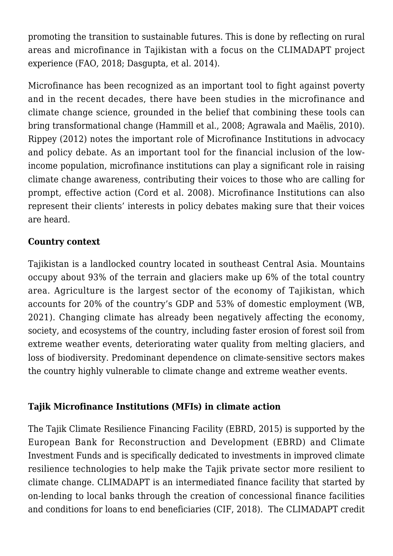promoting the transition to sustainable futures. This is done by reflecting on rural areas and microfinance in Tajikistan with a focus on the [CLIMADAPT](https://www.climateinvestmentfunds.org/sites/cif_enc/files/knowledge-documents/1091_gender_daycop24_case_study_final.pdf) project experience (FAO, 2018; Dasgupta, et al. 2014).

Microfinance has been recognized as an important tool to fight against poverty and in the recent decades, there have been studies in the microfinance and climate change science, grounded in the belief that combining these tools can bring transformational change (Hammill et al., 2008; Agrawala and Maëlis, 2010). Rippey (2012) notes the important role of Microfinance Institutions in advocacy and policy debate. As an important tool for the financial inclusion of the lowincome population, microfinance institutions can play a significant role in raising climate change awareness, contributing their voices to those who are calling for prompt, effective action (Cord et al. 2008). Microfinance Institutions can also represent their clients' interests in policy debates making sure that their voices are heard.

## **Country context**

Tajikistan is a landlocked country located in southeast Central Asia. Mountains occupy about 93% of the terrain and glaciers make up 6% of the total country area. Agriculture is the largest sector of the economy of Tajikistan, which accounts for 20% of the country's GDP and 53% of domestic employment (WB, 2021). Changing climate has already been negatively affecting the economy, society, and ecosystems of the country, including faster erosion of forest soil from extreme weather events, deteriorating water quality from melting glaciers, and loss of biodiversity. Predominant dependence on climate-sensitive sectors makes the country highly vulnerable to climate change and extreme weather events.

#### **Tajik Microfinance Institutions (MFIs) in climate action**

The [Tajik Climate Resilience Financing Facility](https://www.ebrd.com/work-with-us/projects/psd/tajik-climate-resilience-financing-facility-.html) (EBRD, 2015) is supported by the European Bank for Reconstruction and Development (EBRD) and Climate Investment Funds and is specifically dedicated to investments in improved climate resilience technologies to help make the Tajik private sector more resilient to climate change. CLIMADAPT is an intermediated finance facility that started by on-lending to local banks through the creation of concessional finance facilities and conditions for loans to end beneficiaries (CIF, 2018). The CLIMADAPT credit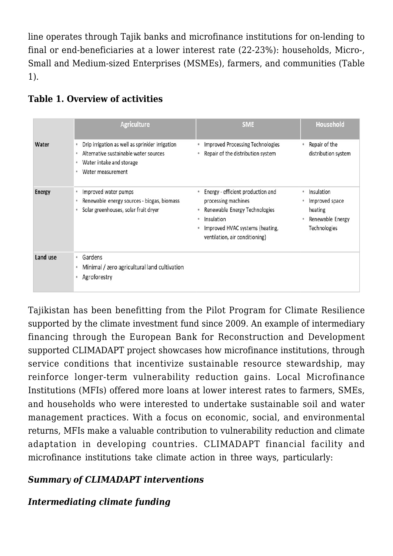line operates through Tajik banks and microfinance institutions for on-lending to final or end-beneficiaries at a lower interest rate (22-23%): households, Micro-, Small and Medium-sized Enterprises (MSMEs), farmers, and communities (Table 1).

|               | <b>Agriculture</b>                                                                                                                             | <b>SME</b>                                                                                                                                                                         | Household                                                                     |
|---------------|------------------------------------------------------------------------------------------------------------------------------------------------|------------------------------------------------------------------------------------------------------------------------------------------------------------------------------------|-------------------------------------------------------------------------------|
| Water         | Drip irrigation as well as sprinkler irrigation<br>Alternative sustainable water sources<br>Water intake and storage<br>۰<br>Water measurement | <b>Improved Processing Technologies</b><br>• Repair of the distribution system                                                                                                     | Repair of the<br>distribution system                                          |
| <b>Energy</b> | Improved water pumps<br>۰<br>Renewable energy sources - biogas, biomass<br>Solar greenhouses, solar fruit dryer                                | • Energy - efficient production and<br>processing machines<br>• Renewable Energy Technologies<br>· Insulation<br>Improved HVAC systems (heating,<br>ventilation, air conditioning) | • Insulation<br>Improved space<br>heating<br>Renewable Energy<br>Technologies |
| Land use      | Gardens<br>$\alpha$<br>Minimal / zero agricultural land cultivation<br>Agroforestry                                                            |                                                                                                                                                                                    |                                                                               |

## **Table 1. Overview of activities**

Tajikistan has been benefitting from the [Pilot Program for Climate Resilience](https://www.climateinvestmentfunds.org/sites/cif_enc/files/Tajikistan%20PPCR_final_0.pdf) supported by the climate investment fund since 2009. An example of intermediary financing through the European Bank for Reconstruction and Development supported CLIMADAPT project showcases how microfinance institutions, through service conditions that incentivize sustainable resource stewardship, may reinforce longer-term vulnerability reduction gains. Local Microfinance Institutions (MFIs) offered more loans at lower interest rates to farmers, SMEs, and households who were interested to undertake sustainable soil and water management practices. With a focus on economic, social, and environmental returns, MFIs make a valuable contribution to vulnerability reduction and climate adaptation in developing countries. CLIMADAPT financial facility and microfinance institutions take climate action in three ways, particularly:

## *Summary of CLIMADAPT interventions*

#### *Intermediating climate funding*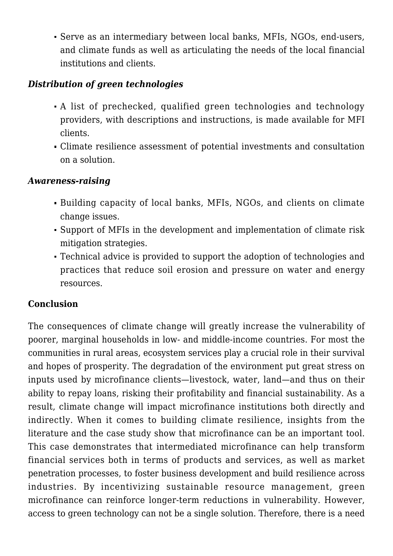Serve as an intermediary between local banks, MFIs, NGOs, end-users, and climate funds as well as articulating the needs of the local financial institutions and clients.

### *Distribution of green technologies*

- A list of prechecked, qualified green technologies and technology providers, with descriptions and instructions, is made available for MFI clients.
- Climate resilience assessment of potential investments and consultation on a solution.

#### *Awareness-raising*

- Building capacity of local banks, MFIs, NGOs, and clients on climate change issues.
- Support of MFIs in the development and implementation of climate risk mitigation strategies.
- Technical advice is provided to support the adoption of technologies and practices that reduce soil erosion and pressure on water and energy resources.

#### **Conclusion**

The consequences of climate change will greatly increase the vulnerability of poorer, marginal households in low- and middle-income countries. For most the communities in rural areas, ecosystem services play a crucial role in their survival and hopes of prosperity. The degradation of the environment put great stress on inputs used by microfinance clients—livestock, water, land—and thus on their ability to repay loans, risking their profitability and financial sustainability. As a result, climate change will impact microfinance institutions both directly and indirectly. When it comes to building climate resilience, insights from the literature and the case study show that microfinance can be an important tool. This case demonstrates that intermediated microfinance can help transform financial services both in terms of products and services, as well as market penetration processes, to foster business development and build resilience across industries. By incentivizing sustainable resource management, green microfinance can reinforce longer-term reductions in vulnerability. However, access to green technology can not be a single solution. Therefore, there is a need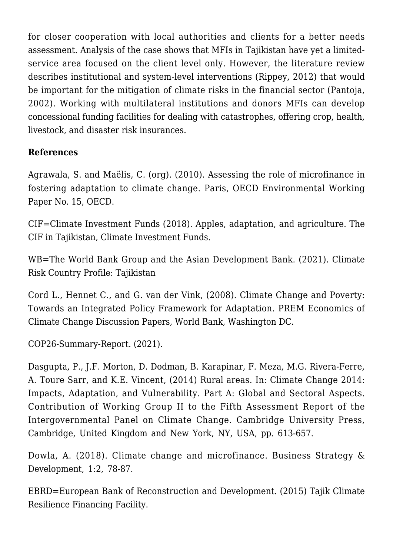for closer cooperation with local authorities and clients for a better needs assessment. Analysis of the case shows that MFIs in Tajikistan have yet a limitedservice area focused on the client level only. However, the literature review describes institutional and system-level interventions (Rippey, 2012) that would be important for the mitigation of climate risks in the financial sector (Pantoja, 2002). Working with multilateral institutions and donors MFIs can develop concessional funding facilities for dealing with catastrophes, offering crop, health, livestock, and disaster risk insurances.

#### **References**

Agrawala, S. and Maëlis, C. (org). (2010). [Assessing the role of microfinance in](https://www.oecd.org/environment/cc/44844835.pdf) [fostering adaptation to climate change.](https://www.oecd.org/environment/cc/44844835.pdf) Paris, OECD Environmental Working Paper No. 15, OECD.

CIF=Climate Investment Funds (2018). [Apples, adaptation, and agriculture.](https://www.climateinvestmentfunds.org/news/apples-adaptation-and-agriculture-cif-tajikistan) The CIF in Tajikistan, Climate Investment Funds.

WB=The World Bank Group and the Asian Development Bank. (2021). [Climate](https://www.adb.org/publications/climate-risk-country-profile-tajikistan) [Risk Country Profile: Tajikistan](https://www.adb.org/publications/climate-risk-country-profile-tajikistan)

Cord L., Hennet C., and G. van der Vink, (2008[\). Climate Change and Poverty:](https://openknowledge.worldbank.org/handle/10986/11148) [Towards an Integrated Policy Framework for Adaptation](https://openknowledge.worldbank.org/handle/10986/11148). PREM Economics of Climate Change Discussion Papers, World Bank, Washington DC.

[COP26-Summary-Report.](https://www.ieta.org/resources/Resources/COP/COP26-Summary-Report.pdf) (2021).

Dasgupta, P., J.F. Morton, D. Dodman, B. Karapinar, F. Meza, M.G. Rivera-Ferre, A. Toure Sarr, and K.E. Vincent, (2014) [Rural areas](https://books.google.be/books?id=2MSTBQAAQBAJ&pg=PA613&lpg=PA613&dq=Dasgupta,+P.,+J.F.+Morton,+D.+Dodman,+B.+Karapinar,+F.+Meza,+M.G.+Rivera-Ferre,+A.+Toure+Sarr,+and+K.E.+Vincent,+(2014)+Rural+areas&source=bl&ots=8LL0chYcLw&sig=ACfU3U3CcMz9RCpZgTynRIfaAzzLWD1FAA&hl=en&sa=X&ved=2ahUKEwikys6j6q73AhXOlqQKHetIDaUQ6AF6BAgCEAM#v=onepage&q=Dasgupta%2C%20P.%2C%20J.F.%20Morton%2C%20D.%20Dodman%2C%20B.%20Karapinar%2C%20F.%20Meza%2C%20M.G.%20Rivera-Ferre%2C%20A.%20Toure%20Sarr%2C%20and%20K.E.%20Vincent%2C%20(2014)%20Rural%20areas&f=false). In: Climate Change 2014: [Impacts, Adaptation, and Vulnerability. Part A: Global and Sectoral Aspects.](https://www.ipcc.ch/report/ar5/wg2/) Contribution of Working Group II to the Fifth Assessment Report of the Intergovernmental Panel on Climate Change. Cambridge University Press, Cambridge, United Kingdom and New York, NY, USA, pp. 613-657.

Dowla, A. (2018). [Climate change and microfinance.](https://onlinelibrary.wiley.com/doi/10.1002/bsd2.13) Business Strategy & Development, 1:2, 78-87.

EBRD=European Bank of Reconstruction and Development. (2015) [Tajik Climate](https://www.ebrd.com/work-with-us/projects/psd/tajik-climate-resilience-financing-facility-.html) [Resilience Financing Facility.](https://www.ebrd.com/work-with-us/projects/psd/tajik-climate-resilience-financing-facility-.html)